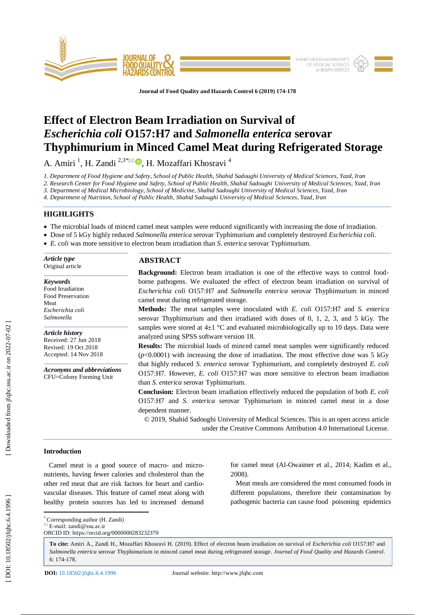

**Journal of Food Quality and Hazards Control 6 (201 9) 174 -178**

# **Effect of Electron Beam Irradiation on Survival of**  *Escherichia coli* **O157:H7 and** *Salmonella enterica* **serovar Thyphimurium in Minced Camel Meat during Refrigerated Storage**

A. Amiri <sup>1</sup>, H. Zandi <sup>2,3\*⊠ </sup>®, H. Mozaffari Khosravi <sup>4</sup>

*1. Department of Food Hygiene and Safety, School of Public Health, Shahid Sadoughi University of Medical Sciences, Yazd, Iran*

*2. Research Center for Food Hygiene and Safety, School of Public Health, Shahid Sadoughi University of Medical Sciences, Yazd, Iran*

*3. Department of Medical Microbiology, School of Medicine, Shahid Sadoughi University of Medical Sciences, Yazd, Iran*

*4. Department of Nutrition, School of Public Health, Shahid Sadoughi University of Medical Sciences, Yazd, Iran*

# **HIGHLIGHTS**

- The microbial loads of minced camel meat samples were reduced significantly with increasing the dose of irradiation.
- Dose of 5 kGy highly reduced *Salmonella enterica* serovar Typhimurium and completely destroyed *Escherichia coli*.
- *E. coli* was more sensitive to electron beam irradiation than *S. enterica* serovar Typhimurium.

| Article type<br>Original article                                                                 | <b>ABSTRACT</b>                                                                                                                                                                                                                                                                                                                   |  |  |  |  |  |  |
|--------------------------------------------------------------------------------------------------|-----------------------------------------------------------------------------------------------------------------------------------------------------------------------------------------------------------------------------------------------------------------------------------------------------------------------------------|--|--|--|--|--|--|
|                                                                                                  | <b>Background:</b> Electron beam irradiation is one of the effective ways to control food-                                                                                                                                                                                                                                        |  |  |  |  |  |  |
| <b>Keywords</b><br>Food Irradiation<br>Food Preservation<br>Meat                                 | borne pathogens. We evaluated the effect of electron beam irradiation on survival of<br><i>Escherichia coli</i> O157:H7 and <i>Salmonella enterica</i> serovar Thyphimurium in minced<br>camel meat during refrigerated storage.                                                                                                  |  |  |  |  |  |  |
| Escherichia coli<br>Salmonella                                                                   | <b>Methods:</b> The meat samples were inoculated with E. coli O157:H7 and S. enterica<br>serovar Thyphimurium and then irradiated with doses of 0, 1, 2, 3, and 5 kGy. The                                                                                                                                                        |  |  |  |  |  |  |
| <b>Article history</b><br>Received: 27 Jun 2018<br>Revised: 19 Oct 2018<br>Accepted: 14 Nov 2018 | samples were stored at $4\pm 1$ °C and evaluated microbiologically up to 10 days. Data were<br>analyzed using SPSS software version 18.<br><b>Results:</b> The microbial loads of minced camel meat samples were significantly reduced<br>$(p<0.0001)$ with increasing the dose of irradiation. The most effective dose was 5 kGy |  |  |  |  |  |  |
| <b>Acronyms and abbreviations</b><br>CFU=Colony Forming Unit                                     | that highly reduced S. enterica serovar Typhimurium, and completely destroyed E. coli<br>O157:H7. However, E. coli O157:H7 was more sensitive to electron beam irradiation<br>than S. enterica serovar Typhimurium.                                                                                                               |  |  |  |  |  |  |
|                                                                                                  | <b>Conclusion:</b> Electron beam irradiation effectively reduced the population of both E. coli<br>O157:H7 and S. enterica serovar Typhimurium in minced camel meat in a dose<br>dependent manner.                                                                                                                                |  |  |  |  |  |  |
|                                                                                                  | © 2019, Shahid Sadoughi University of Medical Sciences. This is an open access article<br>under the Creative Commons Attribution 4.0 International License.                                                                                                                                                                       |  |  |  |  |  |  |
| <b>Introduction</b>                                                                              |                                                                                                                                                                                                                                                                                                                                   |  |  |  |  |  |  |

# Camel meat is a good source of macro- and micronutrients, having fewer calories and cholesterol than the

other red meat that are risk factors for heart and cardiovascular diseases. This feature of camel meat along with healthy protein sources has led to increased demand for camel meat (Al -Owaimer et al., 2014; Kadim et al., 2008 ) .

 Meat meals are considered the most consumed foods in different populations, therefore their contamination by pathogenic bacteria can cause food poisoning epidemics

\* Corresponding author (H. Zandi)  $\overline{\mathbb{E}}$  E-mail: zandi@ssu.ac.ir

ORCID ID: https://orcid.org/0000000283232370

**To cite:** Amiri A., Zandi H., Mozaffari Khosravi H. (201 9). Effect of electron beam irradiation on survival of *Escherichia coli* O157:H7 and *Salmonella enterica* serovar Thyphimurium in minced camel meat during refrigerated storage. *Journal of Food Quality and Hazards Control*. 6: 174-178.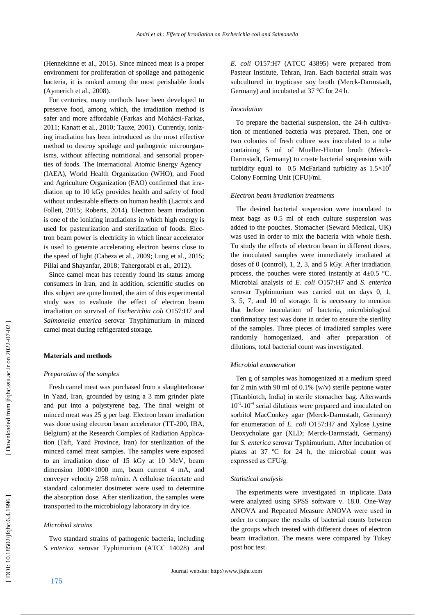(Hennekinne et al., 2015 ). Since minced meat is a proper environment for proliferation of spoilage and pathogenic bacteria, it is ranked among the most perishable foods (Aymerich et al., 2008).

 For centuries, many methods have been developed to preserve food, among which, the irradiation method is safer and more affordable (Farkas and Mohácsi -Farkas, 2011; Kanatt et al., 2010; Tauxe, 2001 ) . Currently, ionizing irradiation has been introduced as the most effective method to destroy spoilage and pathogenic microorganisms, without affecting nutritional and sensorial properties of foods. The International Atomic Energy Agency (IAEA), World Health Organization (WHO) , and Food and Agriculture Organization (FAO) confirmed that irradiation up to 10 kGy provides health and safety of food without undesirable effects on human health (Lacroix and Follett, 2015; Roberts, 2014 ) . Electron beam irradiation is one of the ionizing irradiations in which high energy is used for pasteurization and sterilization of foods. Electron beam power is electricity in which linear accelerator is used to generate accelerating electron beams close to the speed of light (Cabeza et al., 2009; Lung et al., 2015; Pillai and Shayanfar, 2018; Tahergorabi et al., 2012 ) .

 Since camel meat has recently found its status among consumers in Iran, and in addition, scientific studies on this subject are quite limited, the aim of this experimental study was to evaluate the effect of electron beam irradiation on survival of *Escherichia coli* O157:H7 and *Salmonella enterica* serovar Thyphimurium in minced camel meat during refrigerated storage.

# **Materials and methods**

## *Preparation of the samples*

 Fresh camel meat was purchased from a slaughterhouse in Yazd, Iran, grounded by using a 3 mm grinder plate and put into a polystyrene bag. The final weight of minced meat was 25 g per bag. Electron beam irradiation was done using electron beam accelerator (TT -200, IBA, Belgium) at the Research Complex of Radiation Application (Taft, Yazd Province, Iran) for sterilization of the minced camel meat samples. The samples were exposed to an irradiation dose of 15 kGy at 10 MeV, beam dimension 1000×1000 mm, beam current 4 mA , and conveyer velocity 2/58 m/min. A cellulose triacetate and standard calorimeter dosimeter were used to determine the absorption dose. After sterilization, the samples were transported to the microbiology laboratory in dry ice.

#### *Microbial strain s*

 Two standard strains of pathogenic bacteria, including *S. enterica* serovar Typhimurium (ATCC 14028) and *E. coli* O157:H7 (ATCC 43895) were prepared from Pasteur Institute, Tehran, Iran. Each bacterial strain was subcultured in trypticase soy broth (Merck -Darmstadt, Germany) and incubated at 37 °C for 24 h.

#### *Inoculation*

 To prepare the bacterial suspension, the 24 - h cultivation of mentioned bacteria was prepared. Then, one or two colonies of fresh culture was inoculated to a tube containing 5 ml of Mueller -Hinton broth (Merck - Darmstadt, Germany) to create bacterial suspension with turbidity equal to 0.5 McFarland turbidity as  $1.5\times10^8$ Colony Forming Unit (CFU)/ml.

#### *Electron beam irradiation treatments*

 The desired bacterial suspension were inoculated to meat bags as 0.5 ml of each culture suspension was added to the pouches. Stomacher (Seward Medical, UK) was used in order to mix the bacteria with whole flesh. To study the effects of electron beam in different doses, the inoculated samples were immediately irradiated at doses of 0 (control), 1, 2, 3, and 5 kGy. After irradiation process, the pouches were stored instantly at  $4\pm0.5$  °C. Microbial analysis of *E. coli* O157:H7 and *S. enterica* serovar Typhimurium was carried out on days 0, 1, 3, 5, 7, and 10 of storage. It is necessary to mention that before inoculation of bacteria, microbiological confirmatory test was done in order to ensure the sterility of the samples. Three pieces of irradiated samples were randomly homogenized, and after preparation of dilutions, total bacterial count was investigated.

#### *Microbial enumeration*

 Ten g of samples was homogenized at a medium speed for 2 min with 90 ml of  $0.1\%$  (w/v) sterile peptone water (Titanbiotch, India) in sterile stomacher bag. Afterwards 10<sup>-1</sup>-10<sup>-4</sup> serial dilutions were prepared and inoculated on sorbitol MacConkey agar (Merck -Darmstadt, Germany) for enumeration of *E. coli* O157:H7 and Xylose Lysine Deoxycholate gar (XLD; Merck -Darmstadt, Germany) for *S. enterica* serovar Typhimurium. After incubation of plates at 37 ºC for 24 h, the microbial count was expressed as CFU/g.

#### *Statistical analysis*

 The experiments were investigated in triplicate. Data were analyzed using SPSS software v . 18.0. One -Way ANOVA and Repeated Measure ANOVA were used in order to compare the results of bacterial counts between the groups which treated with different doses of electron beam irradiation. The means were compared by Tukey post hoc test.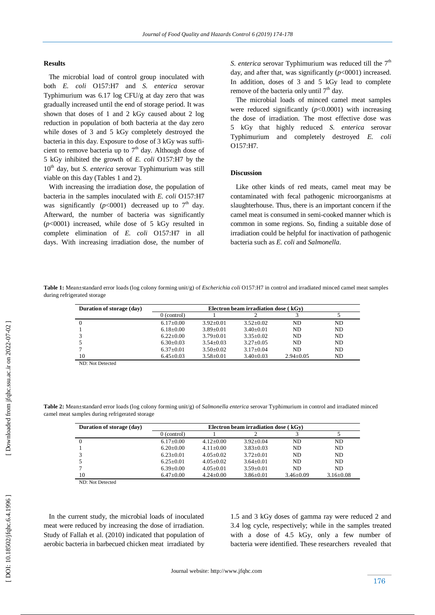#### **Results**

The microbial load of control group inoculated with both *E. coli* O157:H7 and *S. enterica* serovar Typhimurium was 6.17 log CFU/g at day zero that was gradually increased until the end of storage period. It was shown that doses of 1 and 2 kGy caused about 2 log reduction in population of both bacteria at the day zero while doses of 3 and 5 kGy completely destroyed the bacteria in this day. Exposure to dose of 3 kGy was sufficient to remove bacteria up to  $7<sup>th</sup>$  day. Although dose of 5 kGy inhibited the growth of *E. coli* O157:H7 by the 10<sup>th</sup> day, but *S. enterica* serovar Typhimurium was still viable on this day (Table s 1 and 2).

 With increasing the irradiation dose, the population of bacteria in the samples inoculated with *E. coli* O157:H7 was significantly  $(p<0001)$  decreased up to 7<sup>th</sup> day. Afterward, the number of bacteria was significantly  $(p<0001)$  increased, while dose of 5 kGy resulted in complete elimination of *E. coli* O157:H7 in all days. With increasing irradiation dose, the number of

*S. enterica* serovar Typhimurium was reduced till the  $7<sup>th</sup>$ day, and after that, was significantly  $(p<0001)$  increased. In addition, doses of 3 and 5 kGy lead to complete remove of the bacteria only until  $7<sup>th</sup>$  day.

 The microbial loads of minced camel meat samples were reduced significantly  $(p<0.0001)$  with increasing the dose of irradiation. The most effective dose was 5 kGy that highly reduced *S. enterica* serovar Typhimurium and completely destroyed *E. coli* O157:H7*.* 

## **Discussion**

 Like other kinds of red meats, camel meat may be contaminated with fecal pathogenic microorganisms at slaughterhouse. Thus, there is an important concern if the camel meat is consumed in semi -cooked manner which is common in some regions. So, finding a suitable dose of irradiation could be helpful for inactivation of pathogenic bacteria such as *E. coli* and *Salmonella*.

**Table 1:** Mean±standard error loads (log colony forming unit/g) of *Escherichia coli* O157:H7 in control and irradiated minced camel meat samples during refrigerated storage

| Duration of storage (day)                | Electron beam irradiation dose $(kGv)$ |                 |                 |                 |                |  |  |
|------------------------------------------|----------------------------------------|-----------------|-----------------|-----------------|----------------|--|--|
|                                          | $0$ (control)                          |                 |                 |                 |                |  |  |
|                                          | $6.17 \pm 0.00$                        | $3.92+0.01$     | $3.52+0.02$     | ND              | ND.            |  |  |
|                                          | $6.18 \pm 0.00$                        | $3.89 \pm 0.01$ | $3.40 \pm 0.01$ | ND              | N <sub>D</sub> |  |  |
|                                          | $6.22+0.00$                            | $3.79 + 0.01$   | $3.35+0.02$     | ND.             | ND.            |  |  |
|                                          | $6.30\pm0.03$                          | $3.54 + 0.03$   | $3.27 \pm 0.05$ | ND.             | ND.            |  |  |
|                                          | $6.37 \pm 0.01$                        | $3.50 \pm 0.02$ | $3.17 \pm 0.04$ | ND.             | N <sub>D</sub> |  |  |
| 10                                       | $6.45 \pm 0.03$                        | $3.58 \pm 0.01$ | $3.40 \pm 0.03$ | $2.94 \pm 0.05$ | ND.            |  |  |
| $MTN$ , $NT_{14}T_{24}$ , $T_{34}T_{44}$ |                                        |                 |                 |                 |                |  |  |

ND: Not Detected

**Table 2:** Mean±standard error loads (log colony forming unit/g) of *Salmonella enterica* serovar Typhimurium in control and irradiated minced camel meat samples during refrigerated storage

| Duration of storage (day) | Electron beam irradiation dose $(kGv)$ |                 |                 |                 |                 |  |  |
|---------------------------|----------------------------------------|-----------------|-----------------|-----------------|-----------------|--|--|
|                           | $0$ (control)                          |                 |                 |                 |                 |  |  |
| 0                         | $6.17 \pm 0.00$                        | $4.12+0.00$     | $3.92+0.04$     | ND.             | ND              |  |  |
|                           | $6.20 \pm 0.00$                        | $4.11+0.00$     | $3.83 \pm 0.03$ | ND.             | ND              |  |  |
|                           | $6.23+0.01$                            | $4.05+0.02$     | $3.72+0.01$     | ND.             | ND              |  |  |
|                           | $6.25+0.01$                            | $4.05+0.02$     | $3.64 \pm 0.01$ | ND.             | ND              |  |  |
|                           | $6.39+0.00$                            | $4.05+0.01$     | $3.59 + 0.01$   | ND.             | ND.             |  |  |
| 10                        | $6.47 \pm 0.00$                        | $4.24 \pm 0.00$ | $3.86 \pm 0.01$ | $3.46 \pm 0.09$ | $3.16 \pm 0.08$ |  |  |

ND: Not Detected

 In the current study, the microbial loads of inoculated meat were reduced by increasing the dose of irradiation. Study of Fallah et al. (2010) indicated that population of aerobic bacteria in barbecued chicken meat irradiated by 1.5 and 3 kGy doses of gamma ray were reduced 2 and 3.4 log cycle, respectively; while in the samples treated with a dose of 4.5 kGy, only a few number of bacteria were identified. These researchers revealed that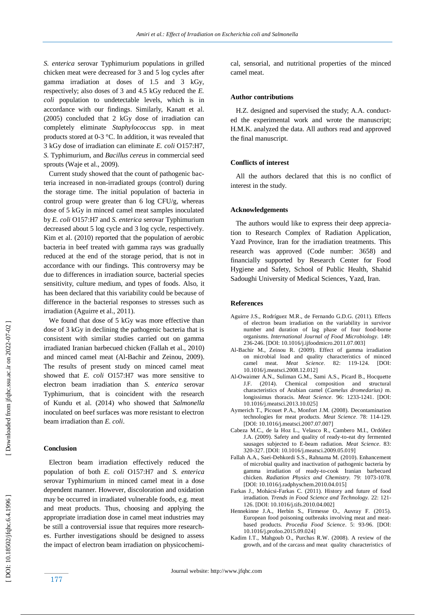*S. enterica* serovar Typhimurium populations in grilled chicken meat were decreased for 3 and 5 log cycle s after gamma irradiation at doses of 1.5 and 3 kGy , respectively; also doses of 3 and 4.5 kGy reduced the *E. coli* population to undetectable levels, which is in accordance with our findings. Similarly, Kanatt et al. (2005) concluded that 2 kGy dose of irradiation can completely eliminate *Staphylococcus* spp. in meat products stored at 0 -3 °C. In addition, it was revealed that 3 kGy dose of irradiation can eliminate *E. coli* O157:H7, *S.* Typhimurium, and *Bacillus cereus* in commercial seed sprouts (Waje et al., 2009).

 Current study showed that the count of pathogenic bacteria increased in non-irradiated groups (control) during the storage time. The initial population of bacteria in control group were greater than  $6 \log CFU/g$ , whereas dose of 5 kGy in minced camel meat samples inoculated by *E. coli* O157:H7 and *S. enterica* serovar Typhimurium decreased about 5 log cycle and 3 log cycle, respectively. Kim et al. (2010 ) reported that the population of aerobic bacteria in beef treated with gamma rays was gradually reduced at the end of the storage period, that is not in accordance with our findings. This controversy may be due to differences in irradiation source, bacterial species sensitivity, culture medium, and types of foods. Also, it has been declared that this variability could be because of difference in the bacterial responses to stresses such as irradiation (Aguirre et al., 2011).

We found that dose of 5 kGy was more effective than dose of 3 kGy in declining the pathogenic bacteria that is consistent with similar studies carried out on gamma irradiated Iranian barbecued chicken (Fallah et al., 2010 ) and minced camel meat (Al -Bachir and Zeinou, 2009 ). The results of present study on minced camel meat showed that *E. coli* O157:H7 was more sensitive to electron beam irradiation than *S. enterica* serovar Typhimurium, that is coincident with the research of Kundu et al. (2014 ) who showed that *Salmonella* inoculated on beef surfaces was more resistant to electron beam irradiation than *E. coli* .

#### **Conclusion**

Electron beam irradiation effectively reduced the population of both *E. coli* O157:H7 and *S. enterica*  serovar Typhimurium in minced camel meat in a dose dependent manner. However, discoloration and oxidation may be occurred in irradiated vulnerable foods, e.g. meat and meat products. Thus, choosing and applying the appropriate irradiation dose in camel meat industries may be still a controversial issue that requires more researches. Further investigations should be designed to assess the impact of electron beam irradiation on physicochemical, sensorial, and nutritional properties of the minced camel meat.

#### **Author contributions**

 H.Z. designed and supervised the study; A.A. conducted the experimental work and wrote the manuscript; H.M.K. analyzed the data. All authors read and approved the final manuscript.

#### **Conflicts of interest**

 All the authors declared that this is no conflict of interest in the study.

#### **Acknowledgements**

 The authors would like to express their deep appreciation to Research Complex of Radiation Application, Yazd Province, Iran for the irradiation treatments. This research was approved (Code number: 3658) and financially supported by Research Center for Food Hygiene and Safety, School of Public Health, Shahid Sadoughi University of Medical Sciences, Yazd, Iran.

#### **Reference s**

- Aguirre J.S., Rodríguez M.R., de Fernando G.D.G. (2011). Effects of electron beam irradiation on the variability in survivor number and duration of lag phase of four food -borne organisms. *International Journal of Food Microbiology.* 149: 236 -246. [DOI: 10.1016/j.ijfoodmicro.2011.07.003]
- Al -Bachir M., Zeinou R. (2009). Effect of gamma irradiation on microbial load and quality characteristics of minced camel meat. *Meat Science* . 82: 119 -124. [DOI: 10.1016/j.meatsci.2008.12.012]
- Al -Owaimer A.N., Suliman G.M., Sami A.S., Picard B., Hocquette J.F. (2014). Chemical composition and structural characteristics of Arabian camel (*Camelus dromedarius)* m. longissimus thoracis. *Meat Science* . 96: 1233 -1241. [DOI: 10.1016/j.meatsci.2013.10.025]
- Aymerich T., Picouet P.A., Monfort J.M. (2008). Decontamination technologies for meat products. *Meat Science* . 78: 114 -129. [DOI: 10.1016/j.meatsci.2007.07.007]
- Cabeza M.C., de la Hoz L., Velasco R., Cambero M.I., Ordóñez J.A. (2009). Safety and quality of ready -to -eat dry fermented sausages subjected to E -beam radiation. *Meat Science*. 83: 320 -327. [DOI: 10.1016/j.meatsci.2009.05.019]
- Fallah A.A., Saei -Dehkordi S.S., Rahnama M. (2010). Enhancement of microbial quality and inactivation of pathogenic bacteria by gamma irradiation of ready -to -cook Iranian barbecued chicken. *Radiation Physics and Chemistry.* 79: 1073 -1078. [DOI: 10.1016/j.radphyschem.2010.04.015]
- Farkas J., Mohácsi -Farkas C. (2011). History and future of food irradiation. *Trends in Food Science and Technology.* 22: 121 - 126. [DOI: 10.1016/j.tifs.2010.04.002]
- Hennekinne J.A., Herbin S., Firmesse O., Auvray F. (2015). European food poisoning outbreaks involving meat and meat based products. *Procedia Food Science*. 5: 93 -96. [DOI: 10.1016/j.profoo.2015.09.024]
- Kadim I.T., Mahgoub O., Purchas R.W. (2008). A review of the growth, and of the carcass and meat quality characteristics of